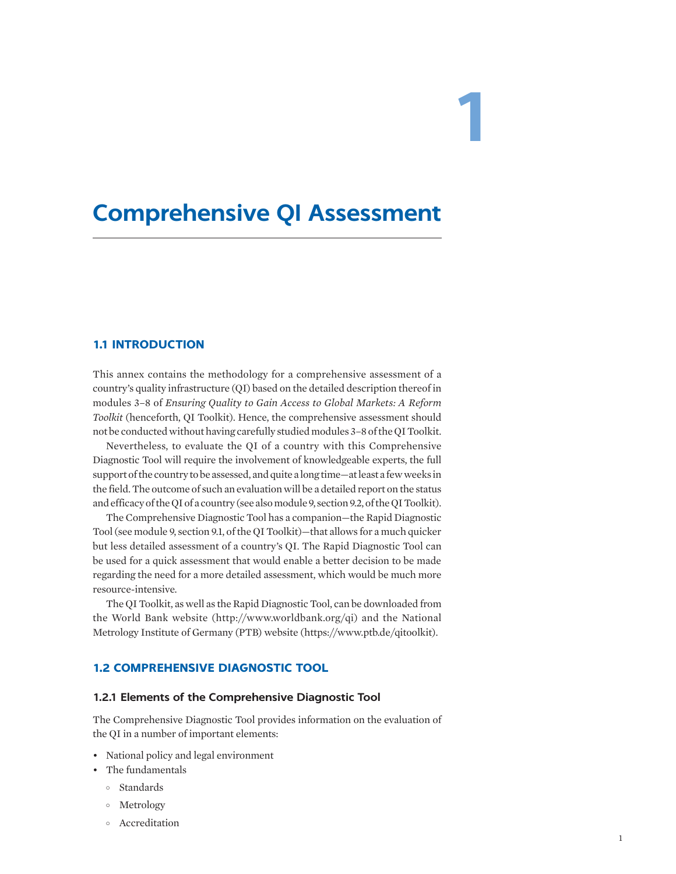# **1**

# **Comprehensive QI Assessment**

## **1.1 INTRODUCTION**

This annex contains the methodology for a comprehensive assessment of a country's quality infrastructure (QI) based on the detailed description thereof in modules 3–8 of *Ensuring Quality to Gain Access to Global Markets: A Reform Toolkit* (henceforth, QI Toolkit). Hence, the comprehensive assessment should not be conducted without having carefully studied modules 3–8 of the QI Toolkit.

Nevertheless, to evaluate the QI of a country with this Comprehensive Diagnostic Tool will require the involvement of knowledgeable experts, the full support of the country to be assessed, and quite a long time—at least a few weeks in the field. The outcome of such an evaluation will be a detailed report on the status and efficacy of the QI of a country (see also module 9, section 9.2, of the QI Toolkit).

The Comprehensive Diagnostic Tool has a companion—the Rapid Diagnostic Tool (see module 9, section 9.1, of the QI Toolkit)—that allows for a much quicker but less detailed assessment of a country's QI. The Rapid Diagnostic Tool can be used for a quick assessment that would enable a better decision to be made regarding the need for a more detailed assessment, which would be much more resource-intensive.

The QI Toolkit, as well as the Rapid Diagnostic Tool, can be downloaded from the World Bank website ([http://www.worldbank.org/qi\)](http://www.worldbank.org/qi) and the National Metrology Institute of Germany (PTB) website (<https://www.ptb.de/qitoolkit>).

## **1.2 COMPREHENSIVE DIAGNOSTIC TOOL**

#### **1.2.1 Elements of the Comprehensive Diagnostic Tool**

The Comprehensive Diagnostic Tool provides information on the evaluation of the QI in a number of important elements:

- National policy and legal environment
- The fundamentals
	- ° Standards
	- ° Metrology
	- ° Accreditation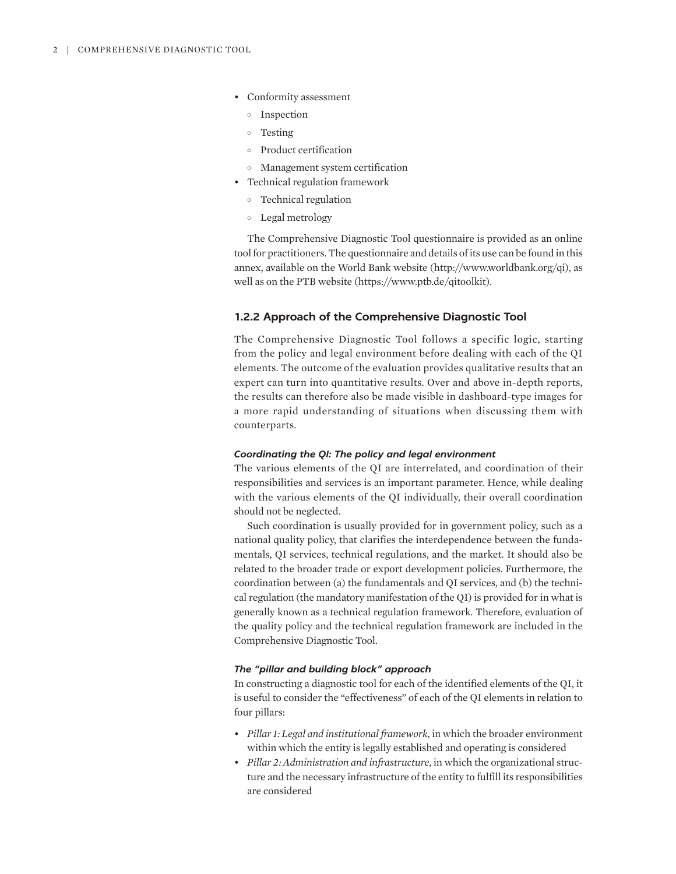- Conformity assessment
	- ° Inspection
	- ° Testing
	- ° Product certification
	- ° Management system certification
- Technical regulation framework
	- ° Technical regulation
	- ° Legal metrology

The Comprehensive Diagnostic Tool questionnaire is provided as an online tool for practitioners. The questionnaire and details of its use can be found in this annex, available on the World Bank website [\(http://www.worldbank.org/qi\)](http://www.worldbank.org/qi), as well as on the PTB website (<https://www.ptb.de/qitoolkit>).

#### **1.2.2 Approach of the Comprehensive Diagnostic Tool**

The Comprehensive Diagnostic Tool follows a specific logic, starting from the policy and legal environment before dealing with each of the QI elements. The outcome of the evaluation provides qualitative results that an expert can turn into quantitative results. Over and above in-depth reports, the results can therefore also be made visible in dashboard-type images for a more rapid understanding of situations when discussing them with counterparts.

#### *Coordinating the QI: The policy and legal environment*

The various elements of the QI are interrelated, and coordination of their responsibilities and services is an important parameter. Hence, while dealing with the various elements of the QI individually, their overall coordination should not be neglected.

Such coordination is usually provided for in government policy, such as a national quality policy, that clarifies the interdependence between the fundamentals, QI services, technical regulations, and the market. It should also be related to the broader trade or export development policies. Furthermore, the coordination between (a) the fundamentals and QI services, and (b) the technical regulation (the mandatory manifestation of the QI) is provided for in what is generally known as a technical regulation framework. Therefore, evaluation of the quality policy and the technical regulation framework are included in the Comprehensive Diagnostic Tool.

#### *The "pillar and building block" approach*

In constructing a diagnostic tool for each of the identified elements of the QI, it is useful to consider the "effectiveness" of each of the QI elements in relation to four pillars:

- *Pillar 1: Legal and institutional framework*, in which the broader environment within which the entity is legally established and operating is considered
- *Pillar 2: Administration and infrastructure*, in which the organizational structure and the necessary infrastructure of the entity to fulfill its responsibilities are considered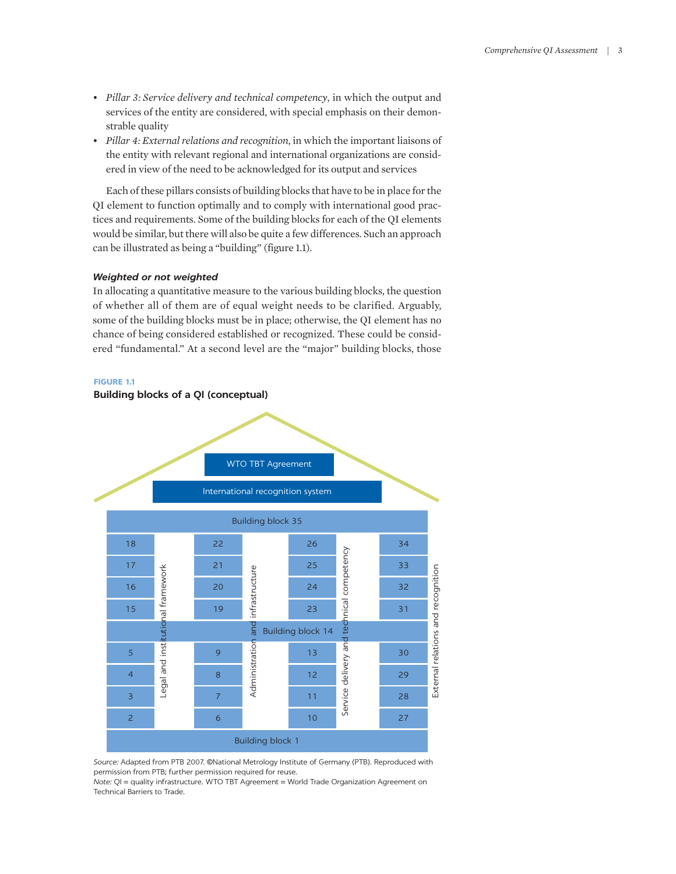- *Pillar 3: Service delivery and technical competency*, in which the output and services of the entity are considered, with special emphasis on their demonstrable quality
- *Pillar 4: External relations and recognition*, in which the important liaisons of the entity with relevant regional and international organizations are considered in view of the need to be acknowledged for its output and services

Each of these pillars consists of building blocks that have to be in place for the QI element to function optimally and to comply with international good practices and requirements. Some of the building blocks for each of the QI elements would be similar, but there will also be quite a few differences. Such an approach can be illustrated as being a "building" (figure 1.1).

#### *Weighted or not weighted*

In allocating a quantitative measure to the various building blocks, the question of whether all of them are of equal weight needs to be clarified. Arguably, some of the building blocks must be in place; otherwise, the QI element has no chance of being considered established or recognized. These could be considered "fundamental." At a second level are the "major" building blocks, those





*Source:* Adapted from PTB 2007. ©National Metrology Institute of Germany (PTB). Reproduced with permission from PTB; further permission required for reuse.

*Note:* QI = quality infrastructure. WTO TBT Agreement = World Trade Organization Agreement on Technical Barriers to Trade.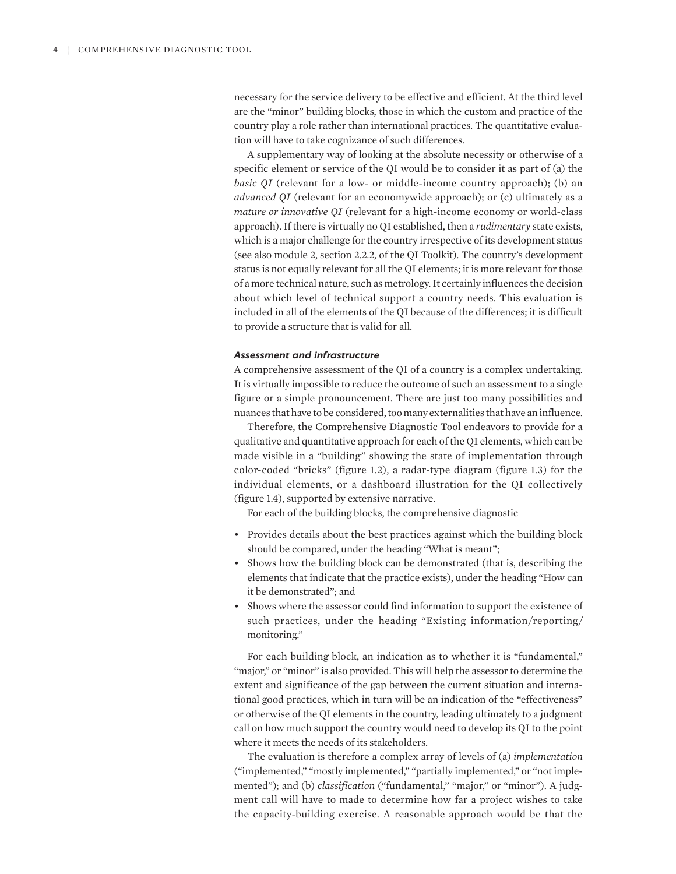necessary for the service delivery to be effective and efficient. At the third level are the "minor" building blocks, those in which the custom and practice of the country play a role rather than international practices. The quantitative evaluation will have to take cognizance of such differences.

A supplementary way of looking at the absolute necessity or otherwise of a specific element or service of the QI would be to consider it as part of (a) the *basic QI* (relevant for a low- or middle-income country approach); (b) an *advanced QI* (relevant for an economywide approach); or (c) ultimately as a *mature or innovative QI* (relevant for a high-income economy or world-class approach). If there is virtually no QI established, then a *rudimentary* state exists, which is a major challenge for the country irrespective of its development status (see also module 2, section 2.2.2, of the QI Toolkit). The country's development status is not equally relevant for all the QI elements; it is more relevant for those of a more technical nature, such as metrology. It certainly influences the decision about which level of technical support a country needs. This evaluation is included in all of the elements of the QI because of the differences; it is difficult to provide a structure that is valid for all.

#### *Assessment and infrastructure*

A comprehensive assessment of the QI of a country is a complex undertaking. It is virtually impossible to reduce the outcome of such an assessment to a single figure or a simple pronouncement. There are just too many possibilities and nuances that have to be considered, too many externalities that have an influence.

Therefore, the Comprehensive Diagnostic Tool endeavors to provide for a qualitative and quantitative approach for each of the QI elements, which can be made visible in a "building" showing the state of implementation through color-coded "bricks" (figure 1.2), a radar-type diagram (figure 1.3) for the individual elements, or a dashboard illustration for the QI collectively (figure 1.4), supported by extensive narrative.

For each of the building blocks, the comprehensive diagnostic

- Provides details about the best practices against which the building block should be compared, under the heading "What is meant";
- Shows how the building block can be demonstrated (that is, describing the elements that indicate that the practice exists), under the heading "How can it be demonstrated"; and
- Shows where the assessor could find information to support the existence of such practices, under the heading "Existing information/reporting/ monitoring."

For each building block, an indication as to whether it is "fundamental," "major," or "minor" is also provided. This will help the assessor to determine the extent and significance of the gap between the current situation and international good practices, which in turn will be an indication of the "effectiveness" or otherwise of the QI elements in the country, leading ultimately to a judgment call on how much support the country would need to develop its QI to the point where it meets the needs of its stakeholders.

The evaluation is therefore a complex array of levels of (a) *implementation* ("implemented," "mostly implemented," "partially implemented," or "not implemented"); and (b) *classification* ("fundamental," "major," or "minor"). A judgment call will have to made to determine how far a project wishes to take the capacity-building exercise. A reasonable approach would be that the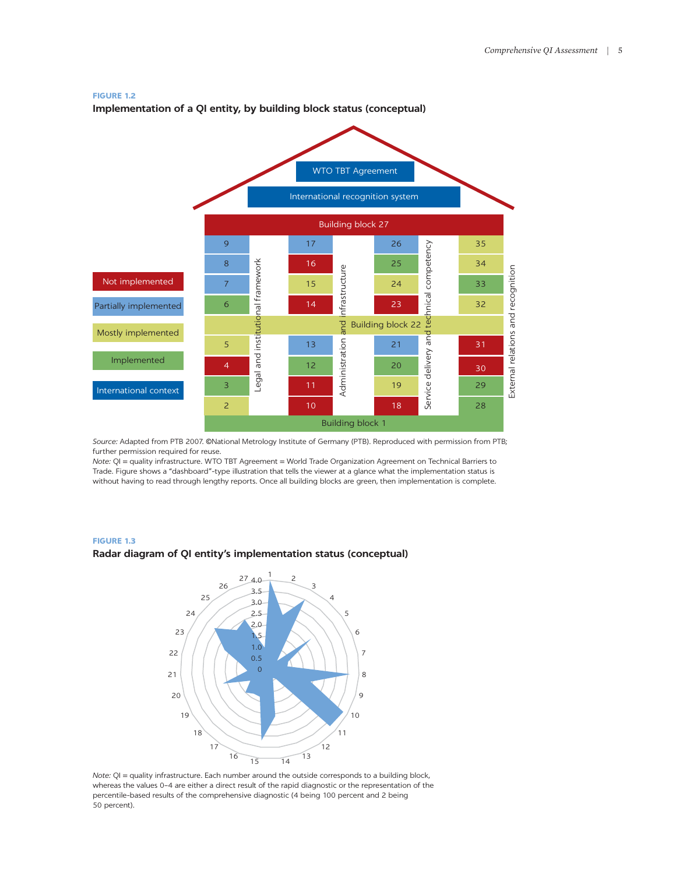#### **FIGURE 1.2**

**Implementation of a QI entity, by building block status (conceptual)** 



*Source:* Adapted from PTB 2007. ©National Metrology Institute of Germany (PTB). Reproduced with permission from PTB; further permission required for reuse.

*Note:* QI = quality infrastructure. WTO TBT Agreement = World Trade Organization Agreement on Technical Barriers to Trade. Figure shows a "dashboard"-type illustration that tells the viewer at a glance what the implementation status is without having to read through lengthy reports. Once all building blocks are green, then implementation is complete.

#### **FIGURE 1.3**

#### **Radar diagram of QI entity's implementation status (conceptual)**



*Note:*  $QI$  = quality infrastructure. Each number around the outside corresponds to a building block, whereas the values 0–4 are either a direct result of the rapid diagnostic or the representation of the percentile-based results of the comprehensive diagnostic (4 being 100 percent and 2 being 50 percent).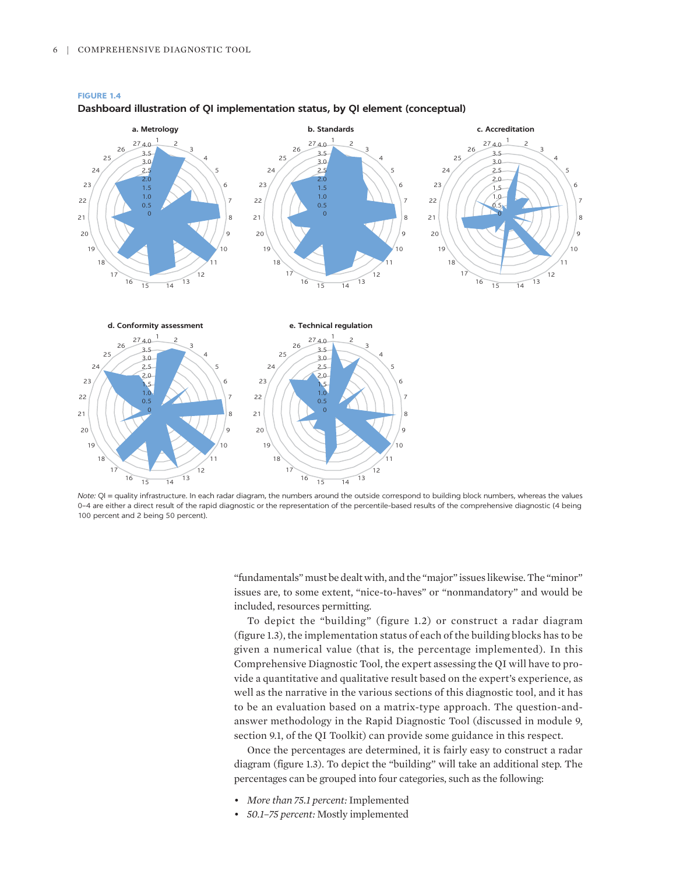

#### **FIGURE 1.4 Dashboard illustration of QI implementation status, by QI element (conceptual)**

*Note:* QI = quality infrastructure. In each radar diagram, the numbers around the outside correspond to building block numbers, whereas the values 0–4 are either a direct result of the rapid diagnostic or the representation of the percentile-based results of the comprehensive diagnostic (4 being 100 percent and 2 being 50 percent).

"fundamentals" must be dealt with, and the "major" issues likewise. The "minor" issues are, to some extent, "nice-to-haves" or "nonmandatory" and would be included, resources permitting.

To depict the "building" (figure 1.2) or construct a radar diagram (figure 1.3), the implementation status of each of the building blocks has to be given a numerical value (that is, the percentage implemented). In this Comprehensive Diagnostic Tool, the expert assessing the QI will have to provide a quantitative and qualitative result based on the expert's experience, as well as the narrative in the various sections of this diagnostic tool, and it has to be an evaluation based on a matrix-type approach. The question-andanswer methodology in the Rapid Diagnostic Tool (discussed in module 9, section 9.1, of the QI Toolkit) can provide some guidance in this respect.

Once the percentages are determined, it is fairly easy to construct a radar diagram (figure 1.3). To depict the "building" will take an additional step. The percentages can be grouped into four categories, such as the following:

- *More than 75.1 percent:* Implemented
- *50.1–75 percent:* Mostly implemented